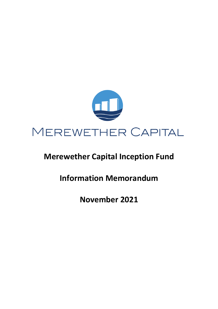

# **Merewether Capital Inception Fund**

**Information Memorandum**

**November 2021**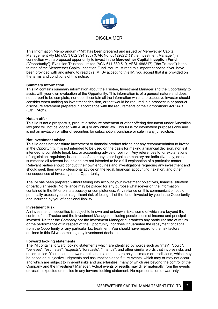

This Information Memorandum ("IM") has been prepared and issued by Merewether Capital Management Pty Ltd (ACN 652 394 968) (CAR No. 001292724) ("the Investment Manager") in connection with a proposed opportunity to invest in the **Merewether Capital Inception Fund** ("Opportunity"). Evolution Trustees Limited (ACN 611 839 519, AFSL 486217) ("the Trustee") is the trustee of the Merewether Capital Inception Fund. You must read this important notice if you have been provided with and intend to read this IM. By accepting this IM, you accept that it is provided on the terms and conditions of this notice.

#### **Summary Information**

This IM contains summary information about the Trustee, Investment Manager and the Opportunity to assist with your own evaluation of the Opportunity. This information is of a general nature and does not purport to be complete, nor does it contain all the information which a prospective investor should consider when making an investment decision, or that would be required in a prospectus or product disclosure statement prepared in accordance with the requirements of the *Corporations Act 2001* (Cth) ("Act").

#### **Not an offer**

This IM is not a prospectus, product disclosure statement or other offering document under Australian law (and will not be lodged with ASIC) or any other law. This IM is for information purposes only and is not an invitation or offer of securities for subscription, purchase or sale in any jurisdiction.

#### **Not investment advice**

This IM does not constitute investment or financial product advice nor any recommendation to invest in the Opportunity. It is not intended to be used on the basis for making a financial decision, nor is it intended to constitute legal, tax, or accounting advice or opinion. Any references to, or explanations of, legislation, regulatory issues, benefits, or any other legal commentary are indicative only, do not summarise all relevant issues and are not intended to be a full explanation of a particular matter. Relevant parties should conduct their own enquiries and investigations regarding any investment and should seek their own professional advice on the legal, financial, accounting, taxation, and other consequences of investing in the Opportunity.

The IM has been prepared without taking into account your investment objectives, financial situation or particular needs. No reliance may be placed for any purpose whatsoever on the information contained in the IM or on its accuracy or completeness. Any reliance on this communication could potentially expose you to a significant risk of losing all of the funds invested by you in the Opportunity and incurring by you of additional liability.

#### **Investment Risk**

An investment in securities is subject to known and unknown risks, some of which are beyond the control of the Trustee and the Investment Manager, including possible loss of income and principal invested. Neither the Company nor the Investment Manager guarantees any particular rate of return or the performance of in respect of the Opportunity, nor does it guarantee the repayment of capital from the Opportunity or any particular tax treatment. You should have regard to the risk factors outlined in this IM when making any investment decision.

### **Forward looking statements**

The IM contains forward looking statements which are identified by words such as "may", "could", "believes", "estimates", "expects", "forecasts", "intends", and other similar words that involve risks and uncertainties. You should be aware that such statements are only estimates or predictions, which may be based on subjective judgments and assumptions as to future events, which may or may not occur and which are subject to inherent risks and uncertainties, many of which are beyond the control of the Company and the Investment Manager. Actual events or results may differ materially from the events or results expected or implied in any forward-looking statement. No representation or warranty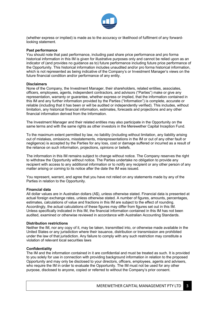

(whether express or implied) is made as to the accuracy or likelihood of fulfilment of any forwardlooking statement.

#### **Past performance**

You should note that past performance, including past share price performance and pro forma historical information in this IM is given for illustrative purposes only and cannot be relied upon as an indicator of (and provides no guidance as to) future performance including future price performance of the Opportunity. This historical information includes unaudited and/or pro forma historical information, which is not represented as being indicative of the Company's or Investment Manager's views on the future financial condition and/or performance of any entity.

#### **Disclaimers**

None of the Company, the Investment Manager, their shareholders, related entities, associates, officers, employees, agents, independent contractors, and advisors ("Parties") make or give any representation, warranty or guarantee, whether express or implied, that the information contained in this IM and any further information provided by the Parties ("Information") is complete, accurate or reliable (including that it has been or will be audited or independently verified). This includes, without limitation, any historical financial information, estimates, forecasts and projections and any other financial information derived from the Information.

The Investment Manager and their related entities may also participate in the Opportunity on the same terms and with the same rights as other investors in the Merewether Capital Inception Fund.

To the maximum extent permitted by law, no liability (including without limitation, any liability arising out of mistakes, omissions, misstatements, misrepresentations in the IM or out of any other fault or negligence) is accepted by the Parties for any loss, cost or damage suffered or incurred as a result of the reliance on such information, projections, opinions or beliefs.

The information in this IM remains subject to change without notice. The Company reserves the right to withdraw the Opportunity without notice. The Parties undertake no obligation to provide any recipient with access to any additional information or to notify any recipient or any other person of any matter arising or coming to its notice after the date the IM was issued.

You represent, warrant, and agree that you have not relied on any statements made by any of the Parties in relation to the Opportunity.

#### **Financial data**

All dollar values are in Australian dollars (A\$), unless otherwise stated. Financial data is presented at actual foreign exchange rates, unless otherwise stated. A number of figures, amounts, percentages, estimates, calculations of value and fractions in this IM are subject to the effect of rounding. Accordingly, the actual calculations of these figures may differ from figures set out in this IM. Unless specifically indicated in this IM, the financial information contained in this IM has not been audited, examined or otherwise reviewed in accordance with Australian Accounting Standards.

#### **Distribution restrictions**

Neither the IM, nor any copy of it, may be taken, transmitted into, or otherwise made available in the United States or any jurisdiction where their issuance, distribution or transmission are prohibited under the law of that jurisdiction. Any failure to comply with any such restriction may constitute a violation of relevant local securities laws

#### **Confidentiality**

The IM and the information contained in it are confidential and must be treated as such. It is provided to you solely for use in connection with providing background information in relation to the proposed Opportunity and may only be disclosed to your directors, officers, employees, agents and advisers, who require the IM in order to evaluate the Opportunity. The IM must not be used for any other purpose, disclosed to anyone, copied or referred to without the Company's prior consent.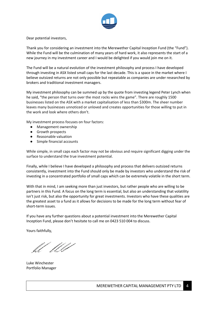

Dear potential investors,

Thank you for considering an investment into the Merewether Capital Inception Fund (the "Fund"). While the Fund will be the culmination of many years of hard work, it also represents the start of a new journey in my investment career and I would be delighted if you would join me on it.

The Fund will be a natural evolution of the investment philosophy and process I have developed through investing in ASX listed small caps for the last decade. This is a space in the market where I believe outsized returns are not only possible but repeatable as companies are under researched by brokers and traditional investment managers.

My investment philosophy can be summed up by the quote from investing legend Peter Lynch when he said, "the person that turns over the most rocks wins the game". There are roughly 1500 businesses listed on the ASX with a market capitalisation of less than \$300m. The sheer number leaves many businesses unnoticed or unloved and creates opportunities for those willing to put in the work and look where others don't.

My investment process focuses on four factors:

- Management ownership
- Growth prospects
- Reasonable valuation
- Simple financial accounts

While simple, in small caps each factor may not be obvious and require significant digging under the surface to understand the true investment potential.

Finally, while I believe I have developed a philosophy and process that delivers outsized returns consistently, investment into the Fund should only be made by investors who understand the risk of investing in a concentrated portfolio of small caps which can be extremely volatile in the short term.

With that in mind, I am seeking more than just investors, but rather people who are willing to be partners in this Fund. A focus on the long term is essential, but also an understanding that volatility isn't just risk, but also the opportunity for great investments. Investors who have these qualities are the greatest asset to a fund as it allows for decisions to be made for the long term without fear of short-term issues.

If you have any further questions about a potential investment into the Merewether Capital Inception Fund, please don't hesitate to call me on 0423 510 004 to discuss.

Yours faithfully,

ft WV

Luke Winchester Portfolio Manager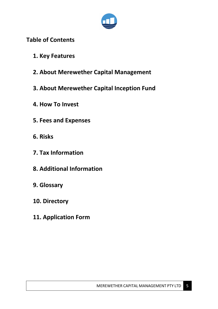

## **Table of Contents**

- **1. Key Features**
- **2. About Merewether Capital Management**
- **3. About Merewether Capital Inception Fund**
- **4. How To Invest**
- **5. Fees and Expenses**
- **6. Risks**
- **7. Tax Information**
- **8. Additional Information**
- **9. Glossary**
- **10. Directory**
- **11. Application Form**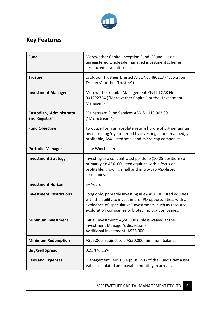

# **Key Features**

| <b>Fund</b>                               | Merewether Capital Inception Fund ("Fund") is an<br>unregistered wholesale managed investment scheme<br>structured as a unit trust.                                                                                                          |
|-------------------------------------------|----------------------------------------------------------------------------------------------------------------------------------------------------------------------------------------------------------------------------------------------|
| <b>Trustee</b>                            | Evolution Trustees Limited AFSL No. 486217 ("Evolution<br>Trustees" or the "Trustee")                                                                                                                                                        |
| <b>Investment Manager</b>                 | Merewether Capital Management Pty Ltd CAR No.<br>001292724 ("Merewether Capital" or the "Investment<br>Manager")                                                                                                                             |
| Custodian, Administrator<br>and Registrar | Mainstream Fund Services ABN 81 118 902 891<br>("Mainstream")                                                                                                                                                                                |
| <b>Fund Objective</b>                     | To outperform an absolute return hurdle of 6% per annum<br>over a rolling 5-year period by investing in undervalued, yet<br>profitable, ASX-listed small and micro-cap companies.                                                            |
| <b>Portfolio Manager</b>                  | Luke Winchester                                                                                                                                                                                                                              |
| <b>Investment Strategy</b>                | Investing in a concentrated portfolio (10-25 positions) of<br>primarily ex-ASX100 listed equities with a focus on<br>profitable, growing small and micro-cap ASX-listed<br>companies.                                                        |
| <b>Investment Horizon</b>                 | 5+ Years                                                                                                                                                                                                                                     |
| <b>Investment Restrictions</b>            | Long only, primarily investing in ex-ASX100 listed equities<br>with the ability to invest in pre-IPO opportunities, with an<br>avoidance of 'speculative' investments, such as resource<br>exploration companies or biotechnology companies. |
| <b>Minimum Investment</b>                 | Initial Investment: A\$50,000 (unless waived at the<br>Investment Manager's discretion)<br>Additional Investment: A\$25,000                                                                                                                  |
| <b>Minimum Redemption</b>                 | A\$25,000, subject to a A\$50,000 minimum balance                                                                                                                                                                                            |
| <b>Buy/Sell Spread</b>                    | 0.25%/0.25%                                                                                                                                                                                                                                  |
| <b>Fees and Expenses</b>                  | Management Fee: 1.5% (plus GST) of the Fund's Net Asset<br>Value calculated and payable monthly in arrears.                                                                                                                                  |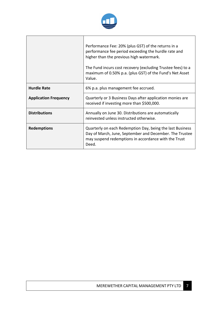

┑

┱

|                              | Performance Fee: 20% (plus GST) of the returns in a<br>performance fee period exceeding the hurdle rate and<br>higher than the previous high watermark.<br>The Fund incurs cost recovery (excluding Trustee fees) to a<br>maximum of 0.50% p.a. (plus GST) of the Fund's Net Asset<br>Value. |
|------------------------------|----------------------------------------------------------------------------------------------------------------------------------------------------------------------------------------------------------------------------------------------------------------------------------------------|
| <b>Hurdle Rate</b>           | 6% p.a. plus management fee accrued.                                                                                                                                                                                                                                                         |
| <b>Application Frequency</b> | Quarterly or 3 Business Days after application monies are<br>received if investing more than \$500,000.                                                                                                                                                                                      |
| <b>Distributions</b>         | Annually on June 30. Distributions are automatically<br>reinvested unless instructed otherwise.                                                                                                                                                                                              |
| <b>Redemptions</b>           | Quarterly on each Redemption Day, being the last Business<br>Day of March, June, September and December. The Trustee<br>may suspend redemptions in accordance with the Trust<br>Deed.                                                                                                        |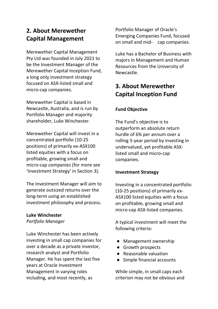## **2. About Merewether Capital Management**

Merewether Capital Management Pty Ltd was founded in July 2021 to be the Investment Manager of the Merewether Capital Inception Fund, a long only investment strategy focused on ASX-listed small and micro-cap companies.

Merewether Capital is based in Newcastle, Australia, and is run by Portfolio Manager and majority shareholder, Luke Winchester.

Merewether Capital will invest in a concentrated portfolio (10-25 positions) of primarily ex-ASX100 listed equities with a focus on profitable, growing small and micro-cap companies (for more see 'Investment Strategy' in Section 3).

The Investment Manager will aim to generate outsized returns over the long-term using an established investment philosophy and process.

### **Luke Winchester**

*Portfolio Manager*

Luke Winchester has been actively investing in small cap companies for over a decade as a private investor, research analyst and Portfolio Manager. He has spent the last five years at Oracle Investment Management in varying roles including, and most recently, as

Portfolio Manager of Oracle's Emerging Companies Fund, focused on small and mid- cap companies.

Luke has a Bachelor of Business with majors in Management and Human Resources from the University of Newcastle.

## **3. About Merewether Capital Inception Fund**

### **Fund Objective**

The Fund's objective is to outperform an absolute return hurdle of 6% per annum over a rolling 5-year period by investing in undervalued, yet profitable ASXlisted small and micro-cap companies.

### **Investment Strategy**

Investing in a concentrated portfolio (10-25 positions) of primarily ex-ASX100 listed equities with a focus on profitable, growing small and micro-cap ASX-listed companies.

A typical investment will meet the following criteria:

- Management ownership
- Growth prospects
- Reasonable valuation
- Simple financial accounts

While simple, in small caps each criterion may not be obvious and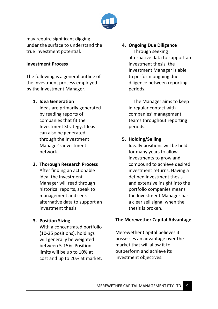

may require significant digging under the surface to understand the true investment potential.

### **Investment Process**

The following is a general outline of the investment process employed by the Investment Manager.

### **1. Idea Generation**

Ideas are primarily generated by reading reports of companies that fit the Investment Strategy. Ideas can also be generated through the Investment Manager's investment network.

### **2. Thorough Research Process**

After finding an actionable idea, the Investment Manager will read through historical reports, speak to management and seek alternative data to support an investment thesis.

### **3. Position Sizing**

With a concentrated portfolio (10-25 positions), holdings will generally be weighted between 5-15%. Position limits will be up to 10% at cost and up to 20% at market.

### **4. Ongoing Due Diligence**

 Through seeking alternative data to support an investment thesis, the Investment Manager is able to perform ongoing due diligence between reporting periods.

 The Manager aims to keep in regular contact with companies' management teams throughout reporting periods.

### **5. Holding/Selling**

Ideally positions will be held for many years to allow investments to grow and compound to achieve desired investment returns. Having a defined investment thesis and extensive insight into the portfolio companies means the Investment Manager has a clear sell signal when the thesis is broken.

### **The Merewether Capital Advantage**

Merewether Capital believes it possesses an advantage over the market that will allow it to outperform and achieve its investment objectives.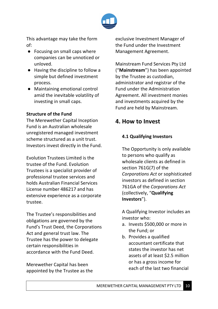

This advantage may take the form of:

- Focusing on small caps where companies can be unnoticed or unloved.
- Having the discipline to follow a simple but defined investment process.
- Maintaining emotional control amid the inevitable volatility of investing in small caps.

### **Structure of the Fund**

The Merewether Capital Inception Fund is an Australian wholesale unregistered managed investment scheme structured as a unit trust. Investors invest directly in the Fund.

Evolution Trustees Limited is the trustee of the Fund. Evolution Trustees is a specialist provider of professional trustee services and holds Australian Financial Services License number 486217 and has extensive experience as a corporate trustee.

The Trustee's responsibilities and obligations are governed by the Fund's Trust Deed, the Corporations Act and general trust law. The Trustee has the power to delegate certain responsibilities in accordance with the Fund Deed.

Merewether Capital has been appointed by the Trustee as the exclusive Investment Manager of the Fund under the Investment Management Agreement.

Mainstream Fund Services Pty Ltd ("**Mainstream**") has been appointed by the Trustee as custodian, administrator and registrar of the Fund under the Administration Agreement. All investment monies and investments acquired by the Fund are held by Mainstream.

## **4. How to Invest**

### **4.1 Qualifying Investors**

The Opportunity is only available to persons who qualify as wholesale clients as defined in section 761G(7) of the *Corporations Act* or sophisticated investors as defined in section 761GA of the *Corporations Act* (collectively, "**Qualifying Investors**").

A Qualifying Investor includes an investor who:

- a. Invests \$500,000 or more in the Fund; or
- b. Provides a qualified accountant certificate that states the investor has net assets of at least \$2.5 million or has a gross income for each of the last two financial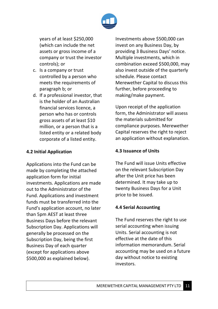

years of at least \$250,000 (which can include the net assets or gross income of a company or trust the investor controls); or

- c. Is a company or trust controlled by a person who meets the requirements of paragraph b; or
- d. If a professional investor, that is the holder of an Australian financial services licence, a person who has or controls gross assets of at least \$10 million, or a person that is a listed entity or a related body corporate of a listed entity.

### **4.2 Initial Application**

Applications into the Fund can be made by completing the attached application form for initial investments. Applications are made out to the Administrator of the Fund. Applications and investment funds must be transferred into the Fund's application account, no later than 5pm AEST at least three Business Days before the relevant Subscription Day. Applications will generally be processed on the Subscription Day, being the first Business Day of each quarter (except for applications above \$500,000 as explained below).

Investments above \$500,000 can invest on any Business Day, by providing 3 Business Days' notice. Multiple investments, which in combination exceed \$500,000, may also invest outside of the quarterly schedule. Please contact Merewether Capital to discuss this further, before proceeding to making/make payment.

Upon receipt of the application form, the Administrator will assess the materials submitted for compliance purposes. Merewether Capital reserves the right to reject an application without explanation.

### **4.3 Issuance of Units**

The Fund will issue Units effective on the relevant Subscription Day after the Unit price has been determined. It may take up to twenty Business Days for a Unit price to be issued.

### **4.4 Serial Accounting**

The Fund reserves the right to use serial accounting when issuing Units. Serial accounting is not effective at the date of this information memorandum. Serial accounting may be used on a future day without notice to existing investors.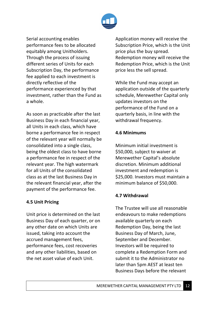

Serial accounting enables performance fees to be allocated equitably among Unitholders. Through the process of issuing different series of Units for each Subscription Day, the performance fee applied to each investment is directly reflective of the performance experienced by that investment, rather than the Fund as a whole.

As soon as practicable after the last Business Day in each financial year, all Units in each class, which have borne a performance fee in respect of the relevant year will normally be consolidated into a single class, being the oldest class to have borne a performance fee in respect of the relevant year. The high watermark for all Units of the consolidated class as at the last Business Day in the relevant financial year, after the payment of the performance fee.

### **4.5 Unit Pricing**

Unit price is determined on the last Business Day of each quarter, or on any other date on which Units are issued, taking into account the accrued management fees, performance fees, cost recoveries and any other liabilities, based on the net asset value of each Unit.

Application money will receive the Subscription Price, which is the Unit price plus the buy spread. Redemption money will receive the Redemption Price, which is the Unit price less the sell spread.

While the Fund may accept an application outside of the quarterly schedule, Merewether Capital only updates investors on the performance of the Fund on a quarterly basis, in line with the withdrawal frequency.

### **4.6 Minimums**

Minimum initial investment is \$50,000, subject to waiver at Merewether Capital's absolute discretion. Minimum additional investment and redemption is \$25,000. Investors must maintain a minimum balance of \$50,000.

### **4.7 Withdrawal**

The Trustee will use all reasonable endeavours to make redemptions available quarterly on each Redemption Day, being the last Business Day of March, June, September and December. Investors will be required to complete a Redemption Form and submit it to the Administrator no later than 5pm AEST at least ten Business Days before the relevant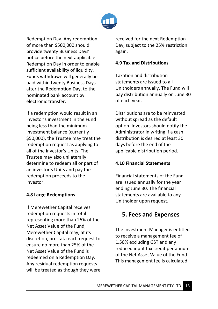

Redemption Day. Any redemption of more than \$500,000 should provide twenty Business Days' notice before the next applicable Redemption Day in order to enable sufficient availability of liquidity. Funds withdrawn will generally be paid within twenty Business Days after the Redemption Day, to the nominated bank account by electronic transfer.

If a redemption would result in an investor's investment in the Fund being less than the minimum investment balance (currently \$50,000), the Trustee may treat the redemption request as applying to all of the investor's Units. The Trustee may also unilaterally determine to redeem all or part of an investor's Units and pay the redemption proceeds to the investor.

### **4.8 Large Redemptions**

If Merewether Capital receives redemption requests in total representing more than 25% of the Net Asset Value of the Fund, Merewether Capital may, at its discretion, pro-rata each request to ensure no more than 25% of the Net Asset Value of the Fund is redeemed on a Redemption Day. Any residual redemption requests will be treated as though they were

received for the next Redemption Day, subject to the 25% restriction again.

### **4.9 Tax and Distributions**

Taxation and distribution statements are issued to all Unitholders annually. The Fund will pay distribution annually on June 30 of each year.

Distributions are to be reinvested without spread as the default option. Investors should notify the Administrator in writing if a cash distribution is desired at least 30 days before the end of the applicable distribution period.

### **4.10 Financial Statements**

Financial statements of the Fund are issued annually for the year ending June 30. The financial statements are available to any Unitholder upon request.

## **5. Fees and Expenses**

The Investment Manager is entitled to receive a management fee of 1.50% excluding GST and any reduced input tax credit per annum of the Net Asset Value of the Fund. This management fee is calculated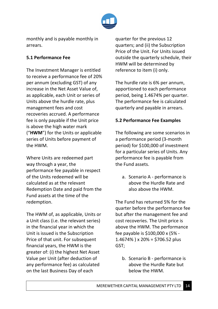

monthly and is payable monthly in arrears.

### **5.1 Performance Fee**

The Investment Manager is entitled to receive a performance fee of 20% per annum (excluding GST) of any increase in the Net Asset Value of, as applicable, each Unit or series of Units above the hurdle rate, plus management fees and cost recoveries accrued. A performance fee is only payable if the Unit price is above the high water mark ("**HWM**") for the Units or applicable series of Units before payment of the HWM.

Where Units are redeemed part way through a year, the performance fee payable in respect of the Units redeemed will be calculated as at the relevant Redemption Date and paid from the Fund assets at the time of the redemption.

The HWM of, as applicable, Units or a Unit class (i.e. the relevant series) in the financial year in which the Unit is issued is the Subscription Price of that unit. For subsequent financial years, the HWM is the greater of: (i) the highest Net Asset Value per Unit (after deduction of any performance fee) as calculated on the last Business Day of each

quarter for the previous 12 quarters; and (ii) the Subscription Price of the Unit. For Units issued outside the quarterly schedule, their HWM will be determined by reference to item (i) only.

The hurdle rate is 6% per annum, apportioned to each performance period, being 1.4674% per quarter. The performance fee is calculated quarterly and payable in arrears.

### **5.2 Performance Fee Examples**

The following are some scenarios in a performance period (3-month period) for \$100,000 of investment for a particular series of Units. Any performance fee is payable from the Fund assets.

a. Scenario A - performance is above the Hurdle Rate and also above the HWM.

The Fund has returned 5% for the quarter before the performance fee but after the management fee and cost recoveries. The Unit price is above the HWM. The performance fee payable is \$100,000 x (5% -  $1.4674\%$ ) x 20% = \$706.52 plus GST;

b. Scenario B - performance is above the Hurdle Rate but below the HWM.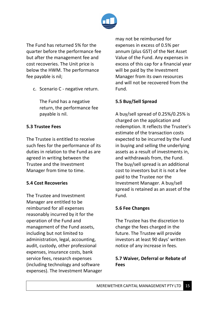

The Fund has returned 5% for the quarter before the performance fee but after the management fee and cost recoveries. The Unit price is below the HWM. The performance fee payable is nil;

c. Scenario C - negative return.

The Fund has a negative return, the performance fee payable is nil.

### **5.3 Trustee Fees**

The Trustee is entitled to receive such fees for the performance of its duties in relation to the Fund as are agreed in writing between the Trustee and the Investment Manager from time to time.

### **5.4 Cost Recoveries**

The Trustee and Investment Manager are entitled to be reimbursed for all expenses reasonably incurred by it for the operation of the Fund and management of the Fund assets, including but not limited to administration, legal, accounting, audit, custody, other professional expenses, insurance costs, bank service fees, research expenses (including technology and software expenses). The Investment Manager may not be reimbursed for expenses in excess of 0.5% per annum (plus GST) of the Net Asset Value of the Fund. Any expenses in excess of this cap for a financial year will be paid by the Investment Manager from its own resources and will not be recovered from the Fund.

### **5.5 Buy/Sell Spread**

A buy/sell spread of 0.25%/0.25% is charged on the application and redemption. It reflects the Trustee's estimate of the transaction costs expected to be incurred by the Fund in buying and selling the underlying assets as a result of investments in, and withdrawals from, the Fund. The buy/sell spread is an additional cost to investors but it is not a fee paid to the Trustee nor the Investment Manager. A buy/sell spread is retained as an asset of the Fund.

### **5.6 Fee Changes**

The Trustee has the discretion to change the fees charged in the future. The Trustee will provide investors at least 90 days' written notice of any increase in fees.

### **5.7 Waiver, Deferral or Rebate of Fees**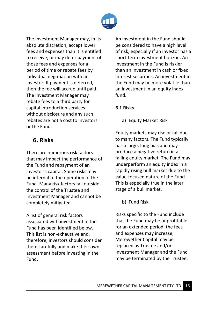

The Investment Manager may, in its absolute discretion, accept lower fees and expenses than it is entitled to receive, or may defer payment of those fees and expenses for a period of time or rebate fees by individual negotiation with an investor. If payment is deferred, then the fee will accrue until paid. The Investment Manager may rebate fees to a third party for capital introduction services without disclosure and any such rebates are not a cost to investors or the Fund.

## **6. Risks**

There are numerous risk factors that may impact the performance of the Fund and repayment of an investor's capital. Some risks may be internal to the operation of the Fund. Many risk factors fall outside the control of the Trustee and Investment Manager and cannot be completely mitigated.

A list of general risk factors associated with investment in the Fund has been identified below. This list is non-exhaustive and, therefore, investors should consider them carefully and make their own assessment before investing in the Fund.

An investment in the Fund should be considered to have a high level of risk, especially if an investor has a short-term investment horizon. An investment in the Fund is riskier than an investment in cash or fixed interest securities. An investment in the Fund may be more volatile than an investment in an equity index fund.

### **6.1 Risks**

a) Equity Market Risk

Equity markets may rise or fall due to many factors. The Fund typically has a large, long bias and may produce a negative return in a falling equity market. The Fund may underperform an equity index in a rapidly rising bull market due to the value-focused nature of the Fund. This is especially true in the later stage of a bull market.

b) Fund Risk

Risks specific to the Fund include that the Fund may be unprofitable for an extended period, the fees and expenses may increase, Merewether Capital may be replaced as Trustee and/or Investment Manager and the Fund may be terminated by the Trustee.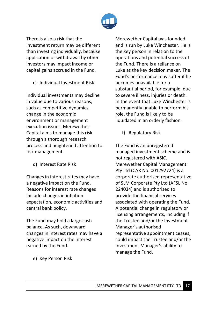

There is also a risk that the investment return may be different than investing individually, because application or withdrawal by other investors may impact income or capital gains accrued in the Fund.

c) Individual Investment Risk

Individual investments may decline in value due to various reasons, such as competitive dynamics, change in the economic environment or management execution issues. Merewether Capital aims to manage this risk through a thorough research process and heightened attention to risk management.

d) Interest Rate Risk

Changes in interest rates may have a negative impact on the Fund. Reasons for interest rate changes include changes in inflation expectation, economic activities and central bank policy.

The Fund may hold a large cash balance. As such, downward changes in interest rates may have a negative impact on the interest earned by the Fund.

Merewether Capital was founded and is run by Luke Winchester. He is the key person in relation to the operations and potential success of the Fund. There is a reliance on Luke as the key decision maker. The Fund's performance may suffer if he becomes unavailable for a substantial period, for example, due to severe illness, injuries or death. In the event that Luke Winchester is permanently unable to perform his role, the Fund is likely to be liquidated in an orderly fashion.

f) Regulatory Risk

The Fund is an unregistered managed investment scheme and is not registered with ASIC. Merewether Capital Management Pty Ltd (CAR No. 001292724) is a corporate authorised representative of SLM Corporate Pty Ltd (AFSL No. 224034) and is authorised to provide the financial services associated with operating the Fund. A potential change in regulatory or licensing arrangements, including if the Trustee and/or the Investment Manager's authorised representative appointment ceases, could impact the Trustee and/or the Investment Manager's ability to manage the Fund.

e) Key Person Risk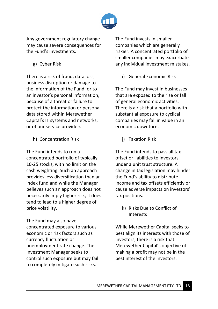

Any government regulatory change may cause severe consequences for the Fund's investments.

g) Cyber Risk

There is a risk of fraud, data loss, business disruption or damage to the information of the Fund, or to an investor's personal information, because of a threat or failure to protect the information or personal data stored within Merewether Capital's IT systems and networks, or of our service providers.

h) Concentration Risk

The Fund intends to run a concentrated portfolio of typically 10-25 stocks, with no limit on the cash weighting. Such an approach provides less diversification than an index fund and while the Manager believes such an approach does not necessarily imply higher risk, it does tend to lead to a higher degree of price volatility.

The Fund may also have concentrated exposure to various economic or risk factors such as currency fluctuation or unemployment rate change. The Investment Manager seeks to control such exposure but may fail to completely mitigate such risks.

The Fund invests in smaller companies which are generally riskier. A concentrated portfolio of smaller companies may exacerbate any individual investment mistakes.

i) General Economic Risk

The Fund may invest in businesses that are exposed to the rise or fall of general economic activities. There is a risk that a portfolio with substantial exposure to cyclical companies may fall in value in an economic downturn.

j) Taxation Risk

The Fund intends to pass all tax offset or liabilities to investors under a unit trust structure. A change in tax legislation may hinder the Fund's ability to distribute income and tax offsets efficiently or cause adverse impacts on investors' tax positions.

k) Risks Due to Conflict of **Interests** 

While Merewether Capital seeks to best align its interests with those of investors, there is a risk that Merewether Capital's objective of making a profit may not be in the best interest of the investors.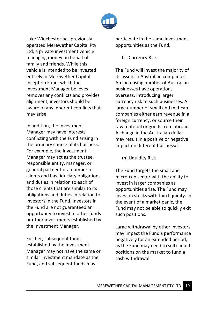

Luke Winchester has previously operated Merewether Capital Pty Ltd, a private investment vehicle managing money on behalf of family and friends. While this vehicle is intended to be invested entirely in Merewether Capital Inception Fund, which the Investment Manager believes removes any conflicts and provides alignment, investors should be aware of any inherent conflicts that may arise.

In addition, the Investment Manager may have interests conflicting with the Fund arising in the ordinary course of its business. For example, the Investment Manager may act as the trustee, responsible entity, manager, or general partner for a number of clients and has fiduciary obligations and duties in relation to each of those clients that are similar to its obligations and duties in relation to investors in the Fund. Investors in the Fund are not guaranteed an opportunity to invest in other funds or other investments established by the Investment Manager.

Further, subsequent funds established by the Investment Manager may not have the same or similar investment mandate as the Fund, and subsequent funds may

participate in the same investment opportunities as the Fund.

l) Currency Risk

The Fund will invest the majority of its assets in Australian companies. An increasing number of Australian businesses have operations overseas, introducing larger currency risk to such businesses. A large number of small and mid-cap companies either earn revenue in a foreign currency, or source their raw material or goods from abroad. A change in the Australian dollar may result in a positive or negative impact on different businesses.

m) Liquidity Risk

The Fund targets the small and micro-cap sector with the ability to invest in larger companies as opportunities arise. The Fund may invest in stocks with thin liquidity. In the event of a market panic, the Fund may not be able to quickly exit such positions.

Large withdrawal by other investors may impact the Fund's performance negatively for an extended period, as the Fund may need to sell illiquid positions on the market to fund a cash withdrawal.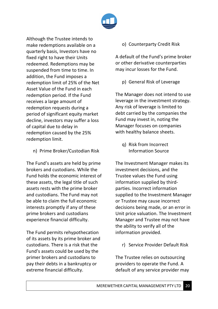

Although the Trustee intends to make redemptions available on a quarterly basis, Investors have no fixed right to have their Units redeemed. Redemptions may be suspended from time to time. In addition, the Fund imposes a redemption limit of 25% of the Net Asset Value of the Fund in each redemption period. If the Fund receives a large amount of redemption requests during a period of significant equity market decline, investors may suffer a loss of capital due to delay in redemption caused by the 25% redemption limit.

n) Prime Broker/Custodian Risk

The Fund's assets are held by prime brokers and custodians. While the Fund holds the economic interest of these assets, the legal title of such assets rests with the prime broker and custodians. The Fund may not be able to claim the full economic interests promptly if any of these prime brokers and custodians experience financial difficulty.

The Fund permits rehypothecation of its assets by its prime broker and custodians. There is a risk that the Fund's assets could be used by the primer brokers and custodians to pay their debts in a bankruptcy or extreme financial difficulty.

o) Counterparty Credit Risk

A default of the Fund's prime broker or other derivative counterparties may incur losses for the Fund.

p) General Risk of Leverage

The Manager does not intend to use leverage in the investment strategy. Any risk of leverage is limited to debt carried by the companies the Fund may invest in, noting the Manager focuses on companies with healthy balance sheets.

q) Risk from Incorrect Information Source

The Investment Manager makes its investment decisions, and the Trustee values the Fund using information supplied by thirdparties. Incorrect information supplied to the Investment Manager or Trustee may cause incorrect decisions being made, or an error in Unit price valuation. The Investment Manager and Trustee may not have the ability to verify all of the information provided.

r) Service Provider Default Risk

The Trustee relies on outsourcing providers to operate the Fund. A default of any service provider may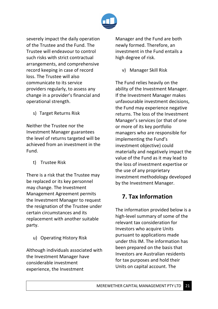

severely impact the daily operation of the Trustee and the Fund. The Trustee will endeavour to control such risks with strict contractual arrangements, and comprehensive record keeping in case of record loss. The Trustee will also communicate to its service providers regularly, to assess any change in a provider's financial and operational strength.

s) Target Returns Risk

Neither the Trustee nor the Investment Manager guarantees the level of returns targeted will be achieved from an investment in the Fund.

t) Trustee Risk

There is a risk that the Trustee may be replaced or its key personnel may change. The Investment Management Agreement permits the Investment Manager to request the resignation of the Trustee under certain circumstances and its replacement with another suitable party.

u) Operating History Risk

Although individuals associated with the Investment Manager have considerable investment experience, the Investment

Manager and the Fund are both newly formed. Therefore, an investment in the Fund entails a high degree of risk.

v) Manager Skill Risk

The Fund relies heavily on the ability of the Investment Manager. If the Investment Manager makes unfavourable investment decisions, the Fund may experience negative returns. The loss of the Investment Manager's services (or that of one or more of its key portfolio managers who are responsible for implementing the Fund's investment objective) could materially and negatively impact the value of the Fund as it may lead to the loss of investment expertise or the use of any proprietary investment methodology developed by the Investment Manager.

## **7. Tax Information**

The information provided below is a high-level summary of some of the relevant tax consideration for Investors who acquire Units pursuant to applications made under this IM. The information has been prepared on the basis that Investors are Australian residents for tax purposes and hold their Units on capital account. The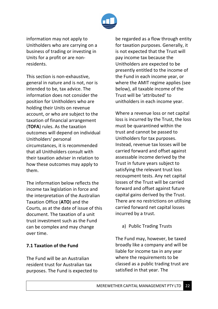

information may not apply to Unitholders who are carrying on a business of trading or investing in Units for a profit or are nonresidents.

This section is non-exhaustive, general in nature and is not, nor is intended to be, tax advice. The information does not consider the position for Unitholders who are holding their Units on revenue account, or who are subject to the taxation of financial arrangement (**TOFA**) rules. As the taxation outcomes will depend on individual Unitholders' personal circumstances, it is recommended that all Unitholders consult with their taxation adviser in relation to how these outcomes may apply to them.

The information below reflects the income tax legislation in force and the interpretation of the Australian Taxation Office (**ATO**) and the Courts, as at the date of issue of this document. The taxation of a unit trust investment such as the Fund can be complex and may change over time.

### **7.1 Taxation of the Fund**

The Fund will be an Australian resident trust for Australian tax purposes. The Fund is expected to

be regarded as a flow through entity for taxation purposes. Generally, it is not expected that the Trust will pay income tax because the Unitholders are expected to be presently entitled to the income of the Fund in each income year, or where the AMIT regime applies (see below), all taxable income of the Trust will be 'attributed' to unitholders in each income year.

Where a revenue loss or net capital loss is incurred by the Trust, the loss must be quarantined within the trust and cannot be passed to Unitholders for tax purposes. Instead, revenue tax losses will be carried forward and offset against assessable income derived by the Trust in future years subject to satisfying the relevant trust loss recoupment tests. Any net capital losses of the Trust will be carried forward and offset against future capital gains derived by the Trust. There are no restrictions on utilising carried forward net capital losses incurred by a trust.

a) Public Trading Trusts

The Fund may, however, be taxed broadly like a company and will be liable for income tax in any year where the requirements to be classed as a public trading trust are satisfied in that year. The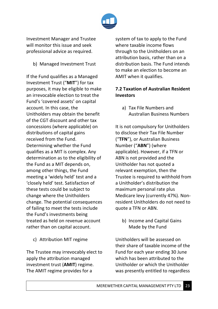

Investment Manager and Trustee will monitor this issue and seek professional advice as required.

b) Managed Investment Trust

If the Fund qualifies as a Managed Investment Trust ("**MIT**") for tax purposes, it may be eligible to make an irrevocable election to treat the Fund's 'covered assets' on capital account. In this case, the Unitholders may obtain the benefit of the CGT discount and other tax concessions (where applicable) on distributions of capital gains received from the Fund. Determining whether the Fund qualifies as a MIT is complex. Any determination as to the eligibility of the Fund as a MIT depends on, among other things, the Fund meeting a 'widely held' test and a 'closely held' test. Satisfaction of these tests could be subject to change where the Unitholders change. The potential consequences of failing to meet the tests include the Fund's investments being treated as held on revenue account rather than on capital account.

c) Attribution MIT regime

The Trustee may irrevocably elect to apply the attribution managed investment trust (**AMIT**) regime. The AMIT regime provides for a

system of tax to apply to the Fund where taxable income flows through to the Unitholders on an attribution basis, rather than on a distribution basis. The Fund intends to make an election to become an AMIT when it qualifies.

### **7.2 Taxation of Australian Resident Investors**

a) Tax File Numbers and Australian Business Numbers

It is not compulsory for Unitholders to disclose their Tax File Number ("**TFN**"), or Australian Business Number ("**ABN**") (where applicable). However, if a TFN or ABN is not provided and the Unitholder has not quoted a relevant exemption, then the Trustee is required to withhold from a Unitholder's distribution the maximum personal rate plus Medicare levy (currently 47%). Nonresident Unitholders do not need to quote a TFN or ABN.

b) Income and Capital Gains Made by the Fund

Unitholders will be assessed on their share of taxable income of the Fund for each year ending 30 June which has been attributed to the Unitholder or which the Unitholder was presently entitled to regardless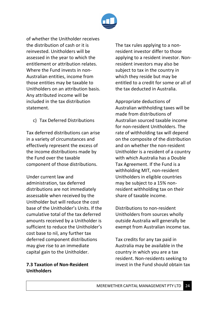

of whether the Unitholder receives the distribution of cash or it is reinvested. Unitholders will be assessed in the year to which the entitlement or attribution relates. Where the Fund invests in non-Australian entities, income from those entities may be taxable to Unitholders on an attribution basis. Any attributed income will be included in the tax distribution statement.

c) Tax Deferred Distributions

Tax deferred distributions can arise in a variety of circumstances and effectively represent the excess of the income distributions made by the Fund over the taxable component of those distributions.

Under current law and administration, tax deferred distributions are not immediately assessable when received by the Unitholder but will reduce the cost base of the Unitholder's Units. If the cumulative total of the tax deferred amounts received by a Unitholder is sufficient to reduce the Unitholder's cost base to nil, any further tax deferred component distributions may give rise to an immediate capital gain to the Unitholder.

### **7.3 Taxation of Non-Resident Unitholders**

The tax rules applying to a nonresident investor differ to those applying to a resident investor. Nonresident investors may also be subject to tax in the country in which they reside but may be entitled to a credit for some or all of the tax deducted in Australia.

Appropriate deductions of Australian withholding taxes will be made from distributions of Australian sourced taxable income for non-resident Unitholders. The rate of withholding tax will depend on the composite of the distribution and on whether the non-resident Unitholder is a resident of a country with which Australia has a Double Tax Agreement. If the Fund is a withholding MIT, non-resident Unitholders in eligible countries may be subject to a 15% nonresident withholding tax on their share of taxable income.

Distributions to non-resident Unitholders from sources wholly outside Australia will generally be exempt from Australian income tax.

Tax credits for any tax paid in Australia may be available in the country in which you are a tax resident. Non-residents seeking to invest in the Fund should obtain tax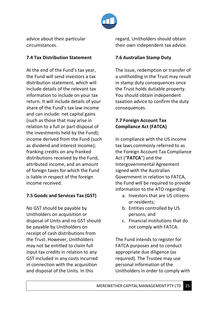

advice about their particular circumstances.

### **7.4 Tax Distribution Statement**

At the end of the Fund's tax year, the Fund will send investors a tax distribution statement, which will include details of the relevant tax information to include on your tax return. It will include details of your share of the Fund's tax law income and can include: net capital gains (such as those that may arise in relation to a full or part disposal of the investments held by the Fund); income derived from the Fund (such as dividend and interest income); franking credits on any franked distributions received by the Fund, attributed income, and an amount of foreign taxes for which the Fund is liable in respect of the foreign income received.

### **7.5 Goods and Services Tax (GST)**

No GST should be payable by Unitholders on acquisition or disposal of Units and no GST should be payable by Unitholders on receipt of cash distributions from the Trust. However, Unitholders may not be entitled to claim full input tax credits in relation to any GST included in any costs incurred in connection with the acquisition and disposal of the Units. In this

regard, Unitholders should obtain their own independent tax advice.

### **7.6 Australian Stamp Duty**

The issue, redemption or transfer of a unitholding in the Trust may result in stamp duty consequences once the Trust holds dutiable property. You should obtain independent taxation advice to confirm the duty consequences.

### **7.7 Foreign Account Tax Compliance Act (FATCA)**

In compliance with the US income tax laws commonly referred to as the Foreign Account Tax Compliance Act ("**FATCA**") and the Intergovernmental Agreement signed with the Australian Government in relation to FATCA, the Fund will be required to provide information to the ATO regarding:

- a. Investors that are US citizens or residents;
- b. Entities controlled by US persons; and
- c. Financial institutions that do not comply with FATCA.

The Fund intends to register for FATCA purposes and to conduct appropriate due diligence (as required). The Trustee may use personal information of the Unitholders in order to comply with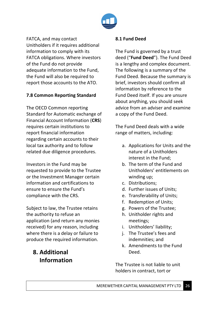

FATCA, and may contact Unitholders if it requires additional information to comply with its FATCA obligations. Where investors of the Fund do not provide adequate information to the Fund, the Fund will also be required to report those accounts to the ATO.

### **7.8 Common Reporting Standard**

The OECD Common reporting Standard for Automatic exchange of Financial Account Information (**CRS**) requires certain institutions to report financial information regarding certain accounts to their local tax authority and to follow related due diligence procedures.

Investors in the Fund may be requested to provide to the Trustee or the Investment Manager certain information and certifications to ensure to ensure the Fund's compliance with the CRS.

Subject to law, the Trustee retains the authority to refuse an application (and return any monies received) for any reason, including where there is a delay or failure to produce the required information.

## **8. Additional Information**

### **8.1 Fund Deed**

The Fund is governed by a trust deed ("**Fund Deed**"). The Fund Deed is a lengthy and complex document. The following is a summary of the Fund Deed. Because the summary is brief, investors should confirm all information by reference to the Fund Deed itself. If you are unsure about anything, you should seek advice from an adviser and examine a copy of the Fund Deed.

The Fund Deed deals with a wide range of matters, including:

- a. Applications for Units and the nature of a Unitholders interest in the Fund;
- b. The term of the Fund and Unitholders' entitlements on winding up;
- c. Distributions;
- d. Further issues of Units;
- e. Transferability of Units;
- f. Redemption of Units;
- g. Powers of the Trustee;
- h. Unitholder rights and meetings;
- i. Unitholders' liability;
- j. The Trustee's fees and indemnities; and
- k. Amendments to the Fund Deed.

The Trustee is not liable to unit holders in contract, tort or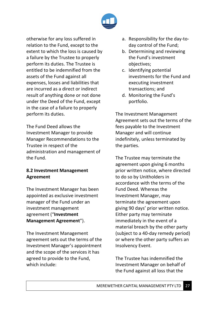

otherwise for any loss suffered in relation to the Fund, except to the extent to which the loss is caused by a failure by the Trustee to properly perform its duties. The Trustee is entitled to be indemnified from the assets of the Fund against all expenses, losses and liabilities that are incurred as a direct or indirect result of anything done or not done under the Deed of the Fund, except in the case of a failure to properly perform its duties.

The Fund Deed allows the Investment Manager to provide Manager Recommendations to the Trustee in respect of the administration and management of the Fund.

### **8.2 Investment Management Agreement**

The Investment Manager has been appointed as exclusive investment manager of the Fund under an investment management agreement ("**Investment Management Agreement**").

The Investment Management agreement sets out the terms of the Investment Manager's appointment and the scope of the services it has agreed to provide to the Fund, which include:

- a. Responsibility for the day-today control of the Fund;
- b. Determining and reviewing the Fund's investment objectives;
- c. Identifying potential investments for the Fund and executing investment transactions; and
- d. Monitoring the Fund's portfolio.

The Investment Management Agreement sets out the terms of the fees payable to the Investment Manager and will continue indefinitely, unless terminated by the parties.

The Trustee may terminate the agreement upon giving 6 months prior written notice, where directed to do so by Unitholders in accordance with the terms of the Fund Deed. Whereas the Investment Manager, may terminate the agreement upon giving 90 days' prior written notice. Either party may terminate immediately in the event of a material breach by the other party (subject to a 40-day remedy period) or where the other party suffers an Insolvency Event.

The Trustee has indemnified the Investment Manager on behalf of the Fund against all loss that the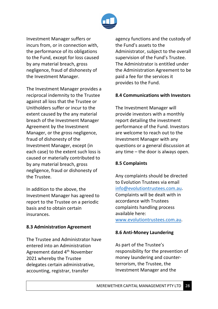

Investment Manager suffers or incurs from, or in connection with, the performance of its obligations to the Fund, except for loss caused by any material breach, gross negligence, fraud of dishonesty of the Investment Manager.

The Investment Manager provides a reciprocal indemnity to the Trustee against all loss that the Trustee or Unitholders suffer or incur to the extent caused by the any material breach of the Investment Manager Agreement by the Investment Manager, or the gross negligence, fraud of dishonesty of the Investment Manager, except (in each case) to the extent such loss is caused or materially contributed to by any material breach, gross negligence, fraud or dishonesty of the Trustee.

In addition to the above, the Investment Manager has agreed to report to the Trustee on a periodic basis and to obtain certain insurances.

### **8.3 Administration Agreement**

The Trustee and Administrator have entered into an Administration Agreement dated 4th November 2021 whereby the Trustee delegates certain administrative, accounting, registrar, transfer

agency functions and the custody of the Fund's assets to the Administrator, subject to the overall supervision of the Fund's Trustee. The Administrator is entitled under the Administration Agreement to be paid a fee for the services it provides to the Fund.

### **8.4 Communications with Investors**

The Investment Manager will provide investors with a monthly report detailing the investment performance of the Fund. Investors are welcome to reach out to the Investment Manager with any questions or a general discussion at any time – the door is always open.

### **8.5 Complaints**

Any complaints should be directed to Evolution Trustees via email info@evolutiontrustees.com.au. Complaints will be dealt with in accordance with Trustees complaints handling process available here: www.evolutiontrustees.com.au.

### **8.6 Anti-Money Laundering**

As part of the Trustee's responsibility for the prevention of money laundering and counterterrorism, the Trustee, the Investment Manager and the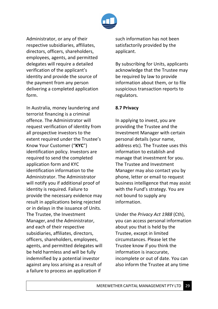

Administrator, or any of their respective subsidiaries, affiliates, directors, officers, shareholders, employees, agents, and permitted delegates will require a detailed verification of the applicant's identity and provide the source of the payment from any person delivering a completed application form.

In Australia, money laundering and terrorist financing is a criminal offence. The Administrator will request verification of identity from all prospective investors to the extent required under the Trustee's Know Your Customer ("**KYC**") identification policy. Investors are required to send the completed application form and KYC identification information to the Administrator. The Administrator will notify you if additional proof of identity is required. Failure to provide the necessary evidence may result in applications being rejected or in delays in the issuance of Units. The Trustee, the Investment Manager, and the Administrator, and each of their respective subsidiaries, affiliates, directors, officers, shareholders, employees, agents, and permitted delegates will be held harmless and will be fully indemnified by a potential investor against any loss arising as a result of a failure to process an application if

such information has not been satisfactorily provided by the applicant.

By subscribing for Units, applicants acknowledge that the Trustee may be required by law to provide information about them, or to file suspicious transaction reports to regulators.

### **8.7 Privacy**

In applying to invest, you are providing the Trustee and the Investment Manager with certain personal details (your name, address etc). The Trustee uses this information to establish and manage that investment for you. The Trustee and Investment Manager may also contact you by phone, letter or email to request business intelligence that may assist with the Fund's strategy. You are not bound to supply any information.

Under the *Privacy Act 1988* (Cth), you can access personal information about you that is held by the Trustee, except in limited circumstances. Please let the Trustee know if you think the information is inaccurate, incomplete or out of date. You can also inform the Trustee at any time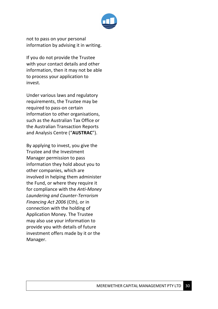

not to pass on your personal information by advising it in writing.

If you do not provide the Trustee with your contact details and other information, then it may not be able to process your application to invest.

Under various laws and regulatory requirements, the Trustee may be required to pass-on certain information to other organisations, such as the Australian Tax Office or the Australian Transaction Reports and Analysis Centre ("**AUSTRAC**").

By applying to invest, you give the Trustee and the Investment Manager permission to pass information they hold about you to other companies, which are involved in helping them administer the Fund, or where they require it for compliance with the *Anti-Money Laundering and Counter-Terrorism Financing Act 2006* (Cth), or in connection with the holding of Application Money. The Trustee may also use your information to provide you with details of future investment offers made by it or the Manager.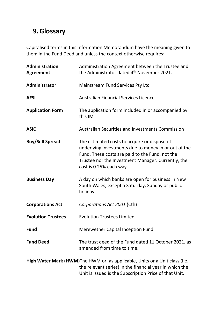# **9.Glossary**

Capitalised terms in this Information Memorandum have the meaning given to them in the Fund Deed and unless the context otherwise requires:

| <b>Administration</b><br><b>Agreement</b> | Administration Agreement between the Trustee and<br>the Administrator dated 4 <sup>th</sup> November 2021.                                                                                                                               |
|-------------------------------------------|------------------------------------------------------------------------------------------------------------------------------------------------------------------------------------------------------------------------------------------|
| Administrator                             | <b>Mainstream Fund Services Pty Ltd</b>                                                                                                                                                                                                  |
| <b>AFSL</b>                               | <b>Australian Financial Services Licence</b>                                                                                                                                                                                             |
| <b>Application Form</b>                   | The application form included in or accompanied by<br>this IM.                                                                                                                                                                           |
| <b>ASIC</b>                               | <b>Australian Securities and Investments Commission</b>                                                                                                                                                                                  |
| <b>Buy/Sell Spread</b>                    | The estimated costs to acquire or dispose of<br>underlying investments due to money in or out of the<br>Fund. These costs are paid to the Fund, not the<br>Trustee nor the Investment Manager. Currently, the<br>cost is 0.25% each way. |
| <b>Business Day</b>                       | A day on which banks are open for business in New<br>South Wales, except a Saturday, Sunday or public<br>holiday.                                                                                                                        |
| <b>Corporations Act</b>                   | Corporations Act 2001 (Cth)                                                                                                                                                                                                              |
| <b>Evolution Trustees</b>                 | <b>Evolution Trustees Limited</b>                                                                                                                                                                                                        |
| <b>Fund</b>                               | Merewether Capital Inception Fund                                                                                                                                                                                                        |
| <b>Fund Deed</b>                          | The trust deed of the Fund dated 11 October 2021, as<br>amended from time to time.                                                                                                                                                       |
|                                           | High Water Mark (HWM) The HWM or, as applicable, Units or a Unit class (i.e.<br>the relevant series) in the financial year in which the<br>Unit is issued is the Subscription Price of that Unit.                                        |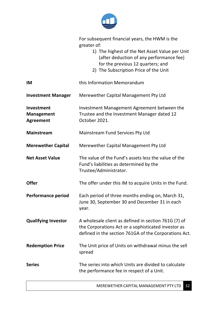

|                                                     | For subsequent financial years, the HWM is the<br>greater of:<br>1) The highest of the Net Asset Value per Unit<br>(after deduction of any performance fee)<br>for the previous 12 quarters; and<br>2) The Subscription Price of the Unit |
|-----------------------------------------------------|-------------------------------------------------------------------------------------------------------------------------------------------------------------------------------------------------------------------------------------------|
| IM                                                  | this Information Memorandum                                                                                                                                                                                                               |
| <b>Investment Manager</b>                           | Merewether Capital Management Pty Ltd                                                                                                                                                                                                     |
| Investment<br><b>Management</b><br><b>Agreement</b> | Investment Management Agreement between the<br>Trustee and the Investment Manager dated 12<br>October 2021.                                                                                                                               |
| <b>Mainstream</b>                                   | <b>Mainstream Fund Services Pty Ltd</b>                                                                                                                                                                                                   |
| <b>Merewether Capital</b>                           | Merewether Capital Management Pty Ltd                                                                                                                                                                                                     |
| <b>Net Asset Value</b>                              | The value of the Fund's assets less the value of the<br>Fund's liabilities as determined by the<br>Trustee/Administrator.                                                                                                                 |
| <b>Offer</b>                                        | The offer under this IM to acquire Units in the Fund.                                                                                                                                                                                     |
| <b>Performance period</b>                           | Each period of three months ending on, March 31,<br>June 30, September 30 and December 31 in each<br>year.                                                                                                                                |
| <b>Qualifying Investor</b>                          | A wholesale client as defined in section 761G (7) of<br>the Corporations Act or a sophisticated investor as<br>defined in the section 761GA of the Corporations Act.                                                                      |
| <b>Redemption Price</b>                             | The Unit price of Units on withdrawal minus the sell<br>spread                                                                                                                                                                            |
| <b>Series</b>                                       | The series into which Units are divided to calculate<br>the performance fee in respect of a Unit.                                                                                                                                         |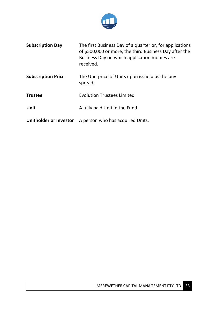

| <b>Subscription Day</b>   | The first Business Day of a quarter or, for applications<br>of \$500,000 or more, the third Business Day after the<br>Business Day on which application monies are<br>received. |
|---------------------------|---------------------------------------------------------------------------------------------------------------------------------------------------------------------------------|
| <b>Subscription Price</b> | The Unit price of Units upon issue plus the buy<br>spread.                                                                                                                      |
| <b>Trustee</b>            | <b>Evolution Trustees Limited</b>                                                                                                                                               |
| Unit                      | A fully paid Unit in the Fund                                                                                                                                                   |
| Unitholder or Investor    | A person who has acquired Units.                                                                                                                                                |